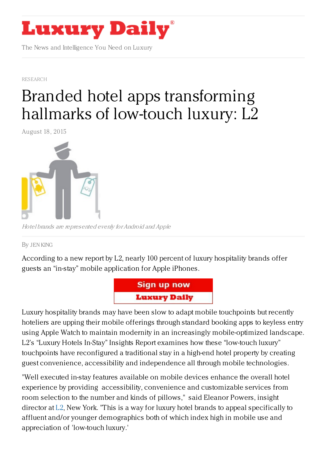

The News and Intelligence You Need on Luxury

[RESEARCH](https://www.luxurydaily.com/category/news/research/)

## Branded hotel apps [transforming](https://www.luxurydaily.com/145943/) hallmarks of low-touch luxury: L2

August 18, 2015



Hotel brands are represented evenly forAndroid and Apple

By JEN [KING](/author/jen-king)

According to a new report by L2, nearly 100 percent of luxury hospitality brands offer guests an "in-stay" mobile application for Apple iPhones.



Luxury hospitality brands may have been slow to adapt mobile touchpoints but recently hoteliers are upping their mobile offerings through standard booking apps to keyless entry using Apple Watch to maintain modernity in an increasingly mobile-optimized landscape. L2's "Luxury Hotels In-Stay" Insights Report examines how these "low-touch luxury" touchpoints have reconfigured a traditional stay in a high-end hotel property by creating guest convenience, accessibility and independence all through mobile technologies.

"Well executed in-stay features available on mobile devices enhance the overall hotel experience by providing accessibility, convenience and customizable services from room selection to the number and kinds of pillows," said Eleanor Powers, insight director at  $L2$ , New York. "This is a way for luxury hotel brands to appeal specifically to affluent and/or younger demographics both of which index high in mobile use and appreciation of 'low-touch luxury.'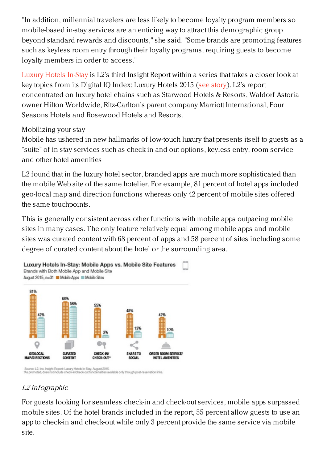"In addition, millennial travelers are less likely to become loyalty program members so mobile-based in-stay services are an enticing way to attract this demographic group beyond standard rewards and discounts," she said. "Some brands are promoting features such as keyless room entry through their loyalty programs, requiring guests to become loyalty members in order to access."

[Luxury](http://www.l2inc.com/research/luxury-hotels-2015/luxury-hotels-in-stay) Hotels In-Stay is L2's third Insight Report within a series that takes a closer look at key topics from its Digital IQ Index: Luxury Hotels 2015 (see [story](https://www.luxurydaily.com/starwood-maintains-highest-portfolio-wide-digital-iq-l2/)). L2's report concentrated on luxury hotel chains such as Starwood Hotels & Resorts, Waldorf Astoria owner Hilton Worldwide, Ritz-Carlton's parent company Marriott International, Four Seasons Hotels and Rosewood Hotels and Resorts.

## Mobilizing your stay

Mobile has ushered in new hallmarks of low-touch luxury that presents itself to guests as a "suite" of in-stay services such as check-in and out options, keyless entry, room service and other hotel amenities

L2 found that in the luxury hotel sector, branded apps are much more sophisticated than the mobile Web site of the same hotelier. For example, 81 percent of hotel apps included geo-local map and direction functions whereas only 42 percent of mobile sites offered the same touchpoints.

This is generally consistent across other functions with mobile apps outpacing mobile sites in many cases. The only feature relatively equal among mobile apps and mobile sites was curated content with 68 percent of apps and 58 percent of sites including some degree of curated content about the hotel or the surrounding area.



Souroe: L2, Inc. Insight Report: Luxury Hotels In-Stay, August 2015.<br>As promoted; does not include check-in/check-out functionalities available only through post-reservation links.

## L2 infographic

For guests looking for seamless check-in and check-out services, mobile apps surpassed mobile sites. Of the hotel brands included in the report, 55 percent allow guests to use an app to check-in and check-out while only 3 percent provide the same service via mobile site.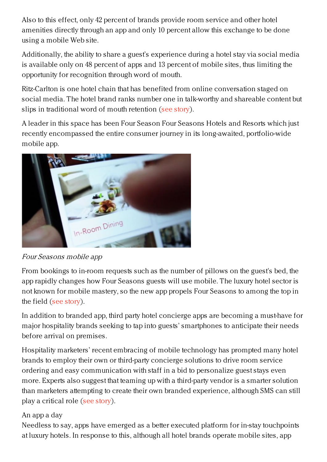Also to this effect, only 42 percent of brands provide room service and other hotel amenities directly through an app and only 10 percent allow this exchange to be done using a mobile Web site.

Additionally, the ability to share a guest's experience during a hotel stay via social media is available only on 48 percent of apps and 13 percent of mobile sites, thus limiting the opportunity for recognition through word of mouth.

Ritz-Carlton is one hotel chain that has benefited from online conversation staged on social media. The hotel brand ranks number one in talk-worthy and shareable content but slips in traditional word of mouth retention (see [story](https://www.luxurydaily.com/145699/)).

A leader in this space has been Four Season Four Seasons Hotels and Resorts which just recently encompassed the entire consumer journey in its long-awaited, portfolio-wide mobile app.



Four Seasons mobile app

From bookings to in-room requests such as the number of pillows on the guest's bed, the app rapidly changes how Four Seasons guests will use mobile. The luxury hotel sector is not known for mobile mastery, so the new app propels Four Seasons to among the top in the field (see [story](https://www.luxurydaily.com/four-seasons-makes-up-lost-mobile-ground-through-global-app/)).

In addition to branded app, third party hotel concierge apps are becoming a must-have for major hospitality brands seeking to tap into guests' smartphones to anticipate their needs before arrival on premises.

Hospitality marketers' recent embracing of mobile technology has prompted many hotel brands to employ their own or third-party concierge solutions to drive room service ordering and easy communication with staff in a bid to personalize guest stays even more. Experts also suggest that teaming up with a third-party vendor is a smarter solution than marketers attempting to create their own branded experience, although SMS can still play a critical role (see [story](https://www.luxurydaily.com/why-concierge-apps-are-way-of-the-future-in-hospitality/)).

## An app a day

Needless to say, apps have emerged as a better executed platform for in-stay touchpoints at luxury hotels. In response to this, although all hotel brands operate mobile sites, app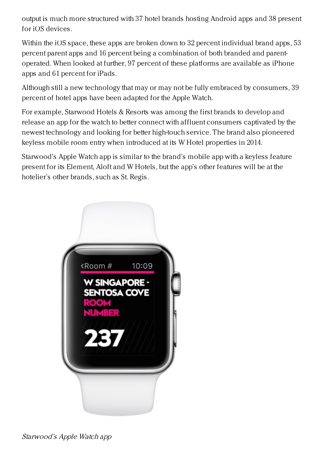output is much more structured with 37 hotel brands hosting Android apps and 38 present for iOS devices.

Within the iOS space, these apps are broken down to 32 percent individual brand apps, 53 percent parent apps and 16 percent being a combination of both branded and parentoperated. When looked at further, 97 percent of these platforms are available as iPhone apps and 61 percent for iPads.

Although still a new technology that may or may not be fully embraced by consumers, 39 percent of hotel apps have been adapted for the Apple Watch.

For example, Starwood Hotels & Resorts was among the first brands to develop and release an app for the watch to better connect with affluent consumers captivated by the newest technology and looking for better high-touch service. The brand also pioneered keyless mobile room entry when introduced at its W Hotel properties in 2014.

Starwood's Apple Watch app is similar to the brand's mobile app with a keyless feature present for its Element, Aloft and W Hotels, but the app's other features will be at the hotelier's other brands, such as St. Regis.